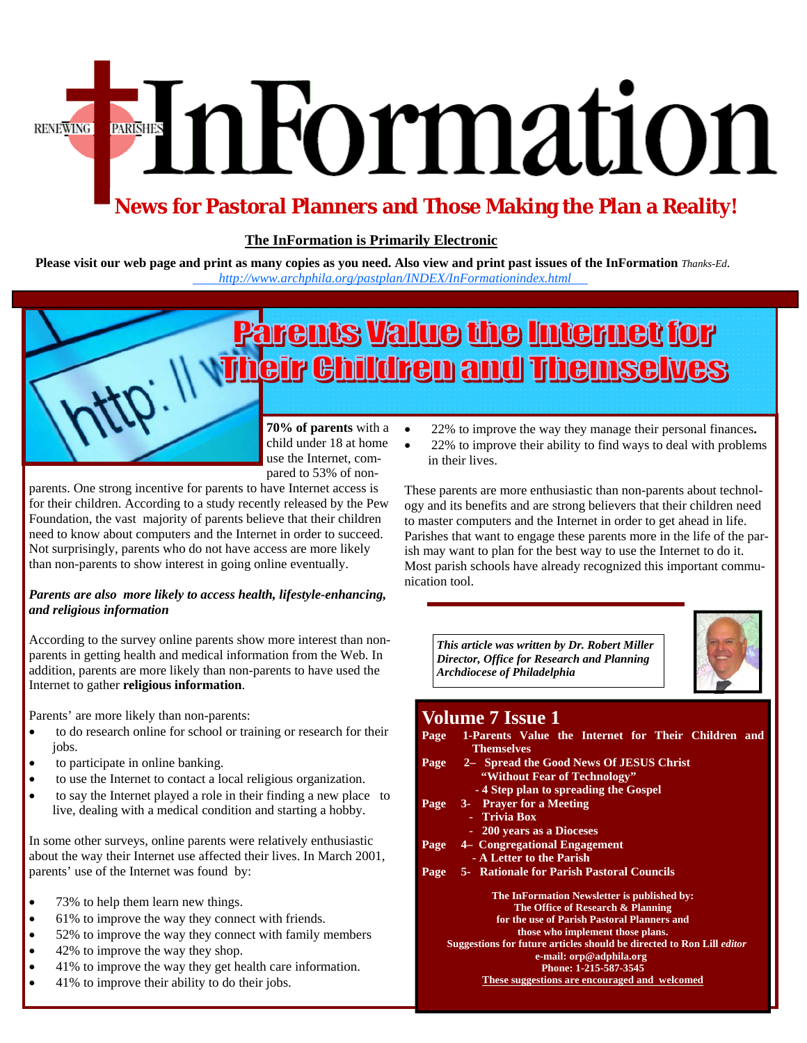# EnFormation **RENEWING**

### **News for Pastoral Planners and Those Making the Plan a Reality!**

### **The InFormation is Primarily Electronic**

**Please visit our web page and print as many copies as you need. Also view and print past issues of the InFormation** *Thanks-Ed. http://www.archphila.org/pastplan/INDEX/In[Formationindex.html](http://www.archphila.org/pastplan/INDEX/InFormationindex.html)* 

# <u>Parents Value the Internet for</u> ir Children and Themselves

**70% of parents** with a  $\bullet$ child under 18 at home use the Internet, compared to 53% of non-

parents. One strong incentive for parents to have Internet access is for their children. According to a study recently released by the Pew Foundation, the vast majority of parents believe that their children need to know about computers and the Internet in order to succeed. Not surprisingly, parents who do not have access are more likely than non-parents to show interest in going online eventually.

#### *Parents are also more likely to access health, lifestyle-enhancing, and religious information*

According to the survey online parents show more interest than nonparents in getting health and medical information from the Web. In addition, parents are more likely than non-parents to have used the Internet to gather **religious information**.

Parents' are more likely than non-parents:

- to do research online for school or training or research for their jobs.
- to participate in online banking.
- to use the Internet to contact a local religious organization.
- to say the Internet played a role in their finding a new place to live, dealing with a medical condition and starting a hobby.

In some other surveys, online parents were relatively enthusiastic about the way their Internet use affected their lives. In March 2001, parents' use of the Internet was found by:

- 73% to help them learn new things.
- 61% to improve the way they connect with friends.
- 52% to improve the way they connect with family members
- 42% to improve the way they shop.
- 41% to improve the way they get health care information.
- 41% to improve their ability to do their jobs.
- 22% to improve the way they manage their personal finances**.**
- 22% to improve their ability to find ways to deal with problems in their lives.

These parents are more enthusiastic than non-parents about technology and its benefits and are strong believers that their children need to master computers and the Internet in order to get ahead in life. Parishes that want to engage these parents more in the life of the parish may want to plan for the best way to use the Internet to do it. Most parish schools have already recognized this important communication tool.

*This article was written by Dr. Robert Miller Director, Office for Research and Planning Archdiocese of Philadelphia* 



### **Volume 7 Issue 1**

| Page                                                                         | 1-Parents Value the Internet for Their Children and |
|------------------------------------------------------------------------------|-----------------------------------------------------|
|                                                                              | <b>Themselves</b>                                   |
| Page                                                                         | 2- Spread the Good News Of JESUS Christ             |
|                                                                              | "Without Fear of Technology"                        |
|                                                                              | -4 Step plan to spreading the Gospel                |
| Page                                                                         | 3- Prayer for a Meeting                             |
|                                                                              | - Trivia Box                                        |
|                                                                              | - 200 years as a Dioceses                           |
| Page                                                                         | 4 Congregational Engagement                         |
|                                                                              | - A Letter to the Parish                            |
| Page                                                                         | <b>5-</b> Rationale for Parish Pastoral Councils    |
|                                                                              | The InFormation Newsletter is published by:         |
|                                                                              | The Office of Research & Planning                   |
|                                                                              | for the use of Parish Pastoral Planners and         |
|                                                                              | those who implement those plans.                    |
| Suggestions for future articles should be directed to Ron Lill <i>editor</i> |                                                     |
|                                                                              | e-mail: orp@adphila.org                             |
|                                                                              | Phone: 1-215-587-3545                               |
|                                                                              | These suggestions are encouraged and welcomed       |
|                                                                              |                                                     |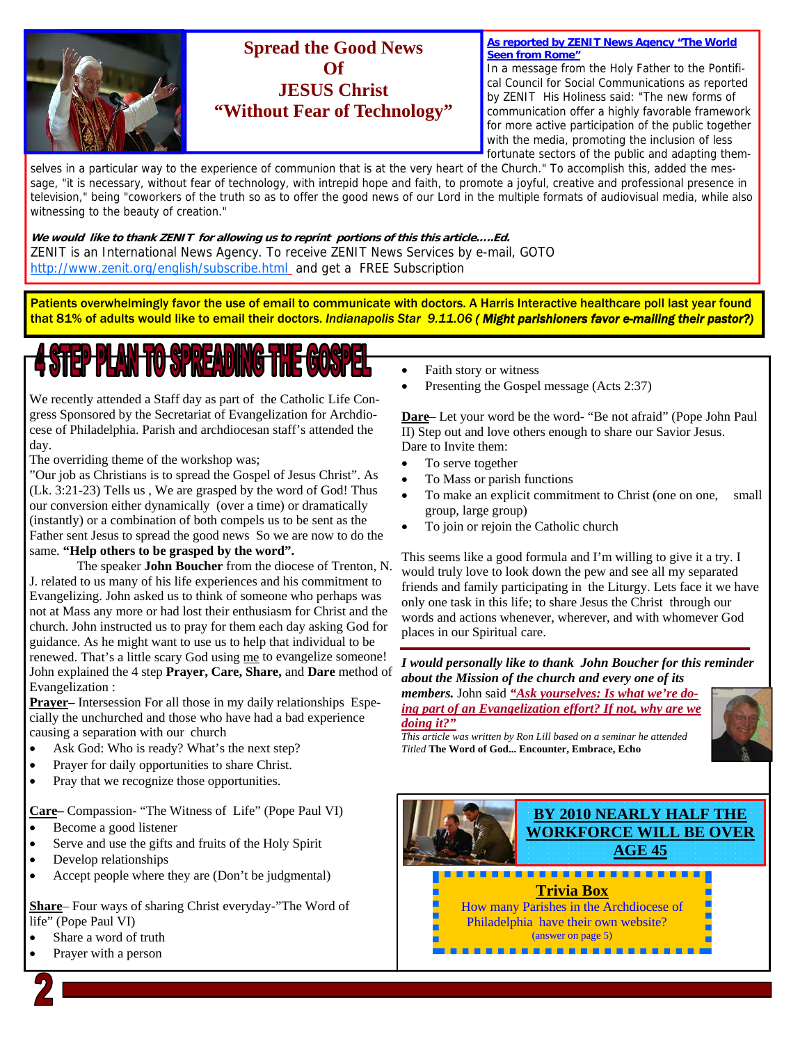

### **Spread the Good News Of JESUS Christ "Without Fear of Technology"**

**As reported by ZENIT News Agency "The World Seen from Rome"**

In a message from the Holy Father to the Pontifical Council for Social Communications as reported by ZENIT His Holiness said: "The new forms of communication offer a highly favorable framework for more active participation of the public together with the media, promoting the inclusion of less fortunate sectors of the public and adapting them-

selves in a particular way to the experience of communion that is at the very heart of the Church." To accomplish this, added the message, "it is necessary, without fear of technology, with intrepid hope and faith, to promote a joyful, creative and professional presence in television," being "coworkers of the truth so as to offer the good news of our Lord in the multiple formats of audiovisual media, while also witnessing to the beauty of creation."

**We would like to thank ZENIT for allowing us to reprint portions of this this article…..Ed.**  ZENIT is an International News Agency. To receive ZENIT News Services by e-mail, GOTO http://www.zenit.org/english/subscribe.html\_ and get a FREE Subscription

Patients overwhelmingly favor the use of email to communicate with doctors. A Harris Interactive healthcare poll last year found that 81% of adults would like to email their doctors. *Indianapolis Star 9.11.06 ( Might parishioners favor e-mailing their pastor?)* 

ł

# **STEP PLAN TO SPREADING THE G**

We recently attended a Staff day as part of the Catholic Life Congress Sponsored by the Secretariat of Evangelization for Archdiocese of Philadelphia. Parish and archdiocesan staff's attended the day.

The overriding theme of the workshop was;

"Our job as Christians is to spread the Gospel of Jesus Christ". As (Lk. 3:21-23) Tells us , We are grasped by the word of God! Thus our conversion either dynamically (over a time) or dramatically (instantly) or a combination of both compels us to be sent as the Father sent Jesus to spread the good news So we are now to do the same. **"Help others to be grasped by the word".** 

 The speaker **John Boucher** from the diocese of Trenton, N. J. related to us many of his life experiences and his commitment to Evangelizing. John asked us to think of someone who perhaps was not at Mass any more or had lost their enthusiasm for Christ and the church. John instructed us to pray for them each day asking God for guidance. As he might want to use us to help that individual to be renewed. That's a little scary God using me to evangelize someone! John explained the 4 step **Prayer, Care, Share,** and **Dare** method of Evangelization :

**Prayer–** Intersession For all those in my daily relationships Especially the unchurched and those who have had a bad experience causing a separation with our church

- Ask God: Who is ready? What's the next step?
- Prayer for daily opportunities to share Christ.
- Pray that we recognize those opportunities.

**Care–** Compassion- "The Witness of Life" (Pope Paul VI)

- Become a good listener
- Serve and use the gifts and fruits of the Holy Spirit
- Develop relationships
- Accept people where they are (Don't be judgmental)

**Share**– Four ways of sharing Christ everyday-"The Word of life" (Pope Paul VI)

- Share a word of truth
- Prayer with a person
- Faith story or witness
- Presenting the Gospel message (Acts 2:37)

**Dare**– Let your word be the word- "Be not afraid" (Pope John Paul II) Step out and love others enough to share our Savior Jesus. Dare to Invite them:

- To serve together
- To Mass or parish functions
- To make an explicit commitment to Christ (one on one, small group, large group)
- To join or rejoin the Catholic church

This seems like a good formula and I'm willing to give it a try. I would truly love to look down the pew and see all my separated friends and family participating in the Liturgy. Lets face it we have only one task in this life; to share Jesus the Christ through our words and actions whenever, wherever, and with whomever God places in our Spiritual care.

*I would personally like to thank John Boucher for this reminder about the Mission of the church and every one of its* 

*members.* John said *"Ask yourselves: Is what we're doing part of an Evangelization effort? If not, why are we doing it?"*

*This article was written by Ron Lill based on a seminar he attended Titled* **The Word of God... Encounter, Embrace, Echo**



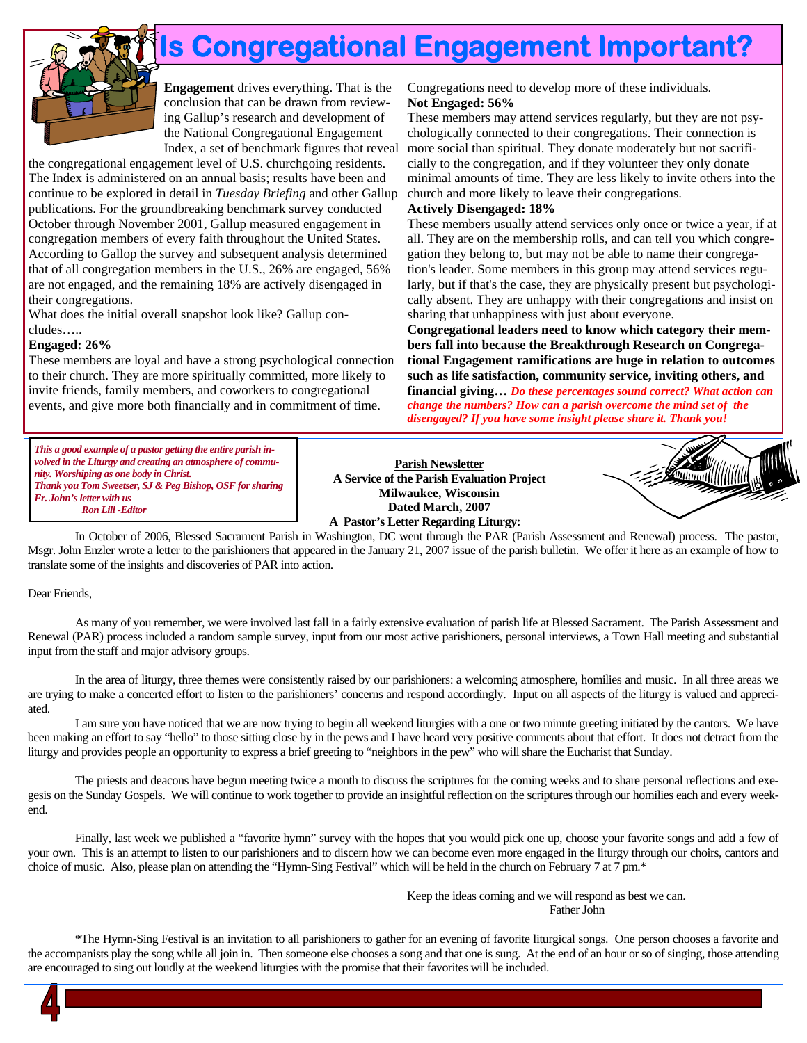

## **Is Congregational Engagement Important?**

**Engagement** drives everything. That is the conclusion that can be drawn from reviewing Gallup's research and development of the National Congregational Engagement Index, a set of benchmark figures that reveal

the congregational engagement level of U.S. churchgoing residents. The Index is administered on an annual basis; results have been and continue to be explored in detail in *Tuesday Briefing* and other Gallup publications. For the groundbreaking benchmark survey conducted October through November 2001, Gallup measured engagement in congregation members of every faith throughout the United States. According to Gallop the survey and subsequent analysis determined that of all congregation members in the U.S., 26% are engaged, 56% are not engaged, and the remaining 18% are actively disengaged in their congregations.

What does the initial overall snapshot look like? Gallup concludes…..

#### **Engaged: 26%**

These members are loyal and have a strong psychological connection to their church. They are more spiritually committed, more likely to invite friends, family members, and coworkers to congregational events, and give more both financially and in commitment of time.

Congregations need to develop more of these individuals. **Not Engaged: 56%**

These members may attend services regularly, but they are not psychologically connected to their congregations. Their connection is more social than spiritual. They donate moderately but not sacrificially to the congregation, and if they volunteer they only donate minimal amounts of time. They are less likely to invite others into the church and more likely to leave their congregations.

#### **Actively Disengaged: 18%**

These members usually attend services only once or twice a year, if at all. They are on the membership rolls, and can tell you which congregation they belong to, but may not be able to name their congregation's leader. Some members in this group may attend services regularly, but if that's the case, they are physically present but psychologically absent. They are unhappy with their congregations and insist on sharing that unhappiness with just about everyone.

**Congregational leaders need to know which category their members fall into because the Breakthrough Research on Congregational Engagement ramifications are huge in relation to outcomes such as life satisfaction, community service, inviting others, and financial giving…** *Do these percentages sound correct? What action can change the numbers? How can a parish overcome the mind set of the disengaged? If you have some insight please share it. Thank you!*

*This a good example of a pastor getting the entire parish involved in the Liturgy and creating an atmosphere of community. Worshiping as one body in Christ. Thank you Tom Sweetser, SJ & Peg Bishop, OSF for sharing Fr. John's letter with us Ron Lill -Editor*

**Parish Newsletter A Service of the Parish Evaluation Project Milwaukee, Wisconsin Dated March, 2007 A Pastor's Letter Regarding Liturgy:**



In October of 2006, Blessed Sacrament Parish in Washington, DC went through the PAR (Parish Assessment and Renewal) process. The pastor, Msgr. John Enzler wrote a letter to the parishioners that appeared in the January 21, 2007 issue of the parish bulletin. We offer it here as an example of how to translate some of the insights and discoveries of PAR into action.

#### Dear Friends,

 As many of you remember, we were involved last fall in a fairly extensive evaluation of parish life at Blessed Sacrament. The Parish Assessment and Renewal (PAR) process included a random sample survey, input from our most active parishioners, personal interviews, a Town Hall meeting and substantial input from the staff and major advisory groups.

 In the area of liturgy, three themes were consistently raised by our parishioners: a welcoming atmosphere, homilies and music. In all three areas we are trying to make a concerted effort to listen to the parishioners' concerns and respond accordingly. Input on all aspects of the liturgy is valued and appreciated.

 I am sure you have noticed that we are now trying to begin all weekend liturgies with a one or two minute greeting initiated by the cantors. We have been making an effort to say "hello" to those sitting close by in the pews and I have heard very positive comments about that effort. It does not detract from the liturgy and provides people an opportunity to express a brief greeting to "neighbors in the pew" who will share the Eucharist that Sunday.

 The priests and deacons have begun meeting twice a month to discuss the scriptures for the coming weeks and to share personal reflections and exegesis on the Sunday Gospels. We will continue to work together to provide an insightful reflection on the scriptures through our homilies each and every weekend.

 Finally, last week we published a "favorite hymn" survey with the hopes that you would pick one up, choose your favorite songs and add a few of your own. This is an attempt to listen to our parishioners and to discern how we can become even more engaged in the liturgy through our choirs, cantors and choice of music. Also, please plan on attending the "Hymn-Sing Festival" which will be held in the church on February 7 at 7 pm.\*

 Keep the ideas coming and we will respond as best we can. Father John

 \*The Hymn-Sing Festival is an invitation to all parishioners to gather for an evening of favorite liturgical songs. One person chooses a favorite and the accompanists play the song while all join in. Then someone else chooses a song and that one is sung. At the end of an hour or so of singing, those attending are encouraged to sing out loudly at the weekend liturgies with the promise that their favorites will be included.